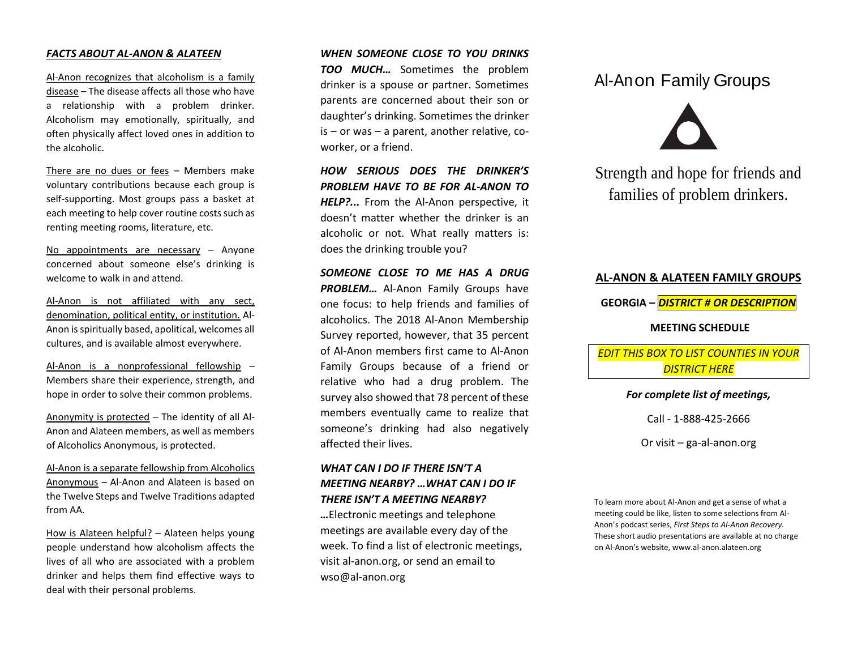### *FACTS ABOUT AL-ANON & ALATEEN*

Al-Anon recognizes that alcoholism is a family disease – The disease affects all those who have a relationship with a problem drinker. Alcoholism may emotionally, spiritually, and often physically affect loved ones in addition to the alcoholic.

There are no dues or fees – Members make voluntary contributions because each group is self-supporting. Most groups pass a basket at each meeting to help cover routine costs such as renting meeting rooms, literature, etc.

No appointments are necessary – Anyone concerned about someone else's drinking is welcome to walk in and attend.

Al-Anon is not affiliated with any sect, denomination, political entity, or institution. Al-Anon is spiritually based, apolitical, welcomes all cultures, and is available almost everywhere.

Al-Anon is a nonprofessional fellowship – Members share their experience, strength, and hope in order to solve their common problems.

Anonymity is protected – The identity of all Al-Anon and Alateen members, as well as members of Alcoholics Anonymous, is protected.

Al-Anon is a separate fellowship from Alcoholics Anonymous – Al-Anon and Alateen is based on the Twelve Steps and Twelve Traditions adapted from AA.

How is Alateen helpful? – Alateen helps young people understand how alcoholism affects the lives of all who are associated with a problem drinker and helps them find effective ways to deal with their personal problems.

### *WHEN SOMEONE CLOSE TO YOU DRINKS*

*TOO MUCH…* Sometimes the problem drinker is a spouse or partner. Sometimes parents are concerned about their son or daughter's drinking. Sometimes the drinker is – or was – a parent, another relative, coworker, or a friend.

*HOW SERIOUS DOES THE DRINKER'S PROBLEM HAVE TO BE FOR AL-ANON TO HELP?...* From the Al-Anon perspective, it doesn't matter whether the drinker is an alcoholic or not. What really matters is: does the drinking trouble you?

*SOMEONE CLOSE TO ME HAS A DRUG*  **PROBLEM...** Al-Anon Family Groups have one focus: to help friends and families of alcoholics. The 2018 Al-Anon Membership Survey reported, however, that 35 percent of Al-Anon members first came to Al-Anon Family Groups because of a friend or relative who had a drug problem. The survey also showed that 78 percent of these members eventually came to realize that someone's drinking had also negatively affected their lives.

# *WHAT CAN I DO IF THERE ISN'T A MEETING NEARBY? …WHAT CAN I DO IF THERE ISN'T A MEETING NEARBY?*

*…*Electronic meetings and telephone meetings are available every day of the week. To find a list of electronic meetings, visit al-anon.org, or send an email to wso@al-anon.org

# Al-Anon Family Groups



Strength and hope for friends and families of problem drinkers.

# **AL-ANON & ALATEEN FAMILY GROUPS GEORGIA –** *DISTRICT # OR DESCRIPTION* **MEETING SCHEDULE** *EDIT THIS BOX TO LIST COUNTIES IN YOUR DISTRICT HERE*

## *For complete list of meetings,*

Call - 1-888-425-2666

Or visit – ga-al-anon.org

To learn more about Al-Anon and get a sense of what a meeting could be like, listen to some selections from Al-Anon's podcast series, *First Steps to Al-Anon Recovery.*  These short audio presentations are available at no charge on Al-Anon's website, www.al-anon.alateen.org